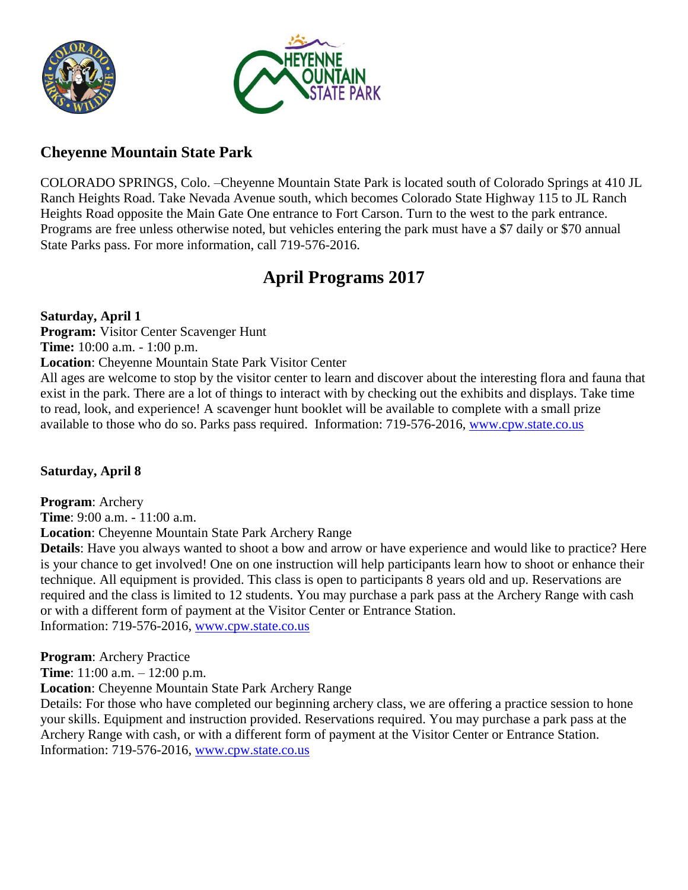



### **Cheyenne Mountain State Park**

COLORADO SPRINGS, Colo. –Cheyenne Mountain State Park is located south of Colorado Springs at 410 JL Ranch Heights Road. Take Nevada Avenue south, which becomes Colorado State Highway 115 to JL Ranch Heights Road opposite the Main Gate One entrance to Fort Carson. Turn to the west to the park entrance. Programs are free unless otherwise noted, but vehicles entering the park must have a \$7 daily or \$70 annual State Parks pass. For more information, call 719-576-2016.

### **April Programs 2017**

available to those who do so. Parks pass required. Information: 719-576-2016, [www.cpw.state.co.us](http://www.cpw.state.co.us/)

**Saturday, April 1 Program:** Visitor Center Scavenger Hunt **Time:** 10:00 a.m. - 1:00 p.m. **Location**: Cheyenne Mountain State Park Visitor Center All ages are welcome to stop by the visitor center to learn and discover about the interesting flora and fauna that exist in the park. There are a lot of things to interact with by checking out the exhibits and displays. Take time to read, look, and experience! A scavenger hunt booklet will be available to complete with a small prize

**Saturday, April 8**

**Program**: Archery **Time**: 9:00 a.m. - 11:00 a.m. **Location**: Cheyenne Mountain State Park Archery Range

**Details**: Have you always wanted to shoot a bow and arrow or have experience and would like to practice? Here is your chance to get involved! One on one instruction will help participants learn how to shoot or enhance their technique. All equipment is provided. This class is open to participants 8 years old and up. Reservations are required and the class is limited to 12 students. You may purchase a park pass at the Archery Range with cash or with a different form of payment at the Visitor Center or Entrance Station. Information: 719-576-2016, [www.cpw.state.co.us](http://www.cpw.state.co.us/)

**Program**: Archery Practice

**Time**: 11:00 a.m. – 12:00 p.m.

**Location**: Cheyenne Mountain State Park Archery Range

Details: For those who have completed our beginning archery class, we are offering a practice session to hone your skills. Equipment and instruction provided. Reservations required. You may purchase a park pass at the Archery Range with cash, or with a different form of payment at the Visitor Center or Entrance Station. Information: 719-576-2016, [www.cpw.state.co.us](http://www.cpw.state.co.us/)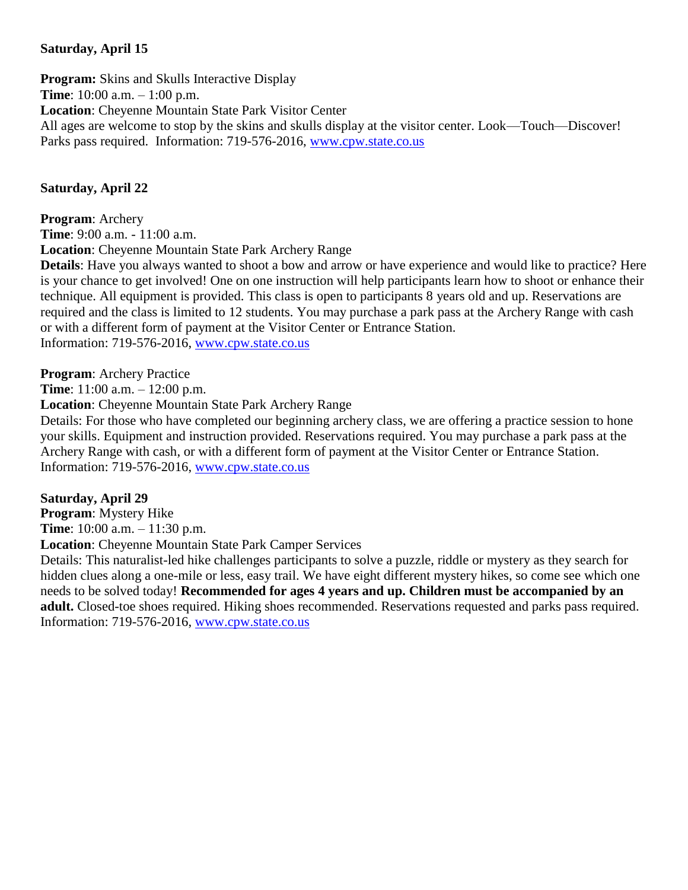### **Saturday, April 15**

**Program:** Skins and Skulls Interactive Display **Time**: 10:00 a.m. – 1:00 p.m. **Location**: Cheyenne Mountain State Park Visitor Center All ages are welcome to stop by the skins and skulls display at the visitor center. Look—Touch—Discover! Parks pass required. Information: 719-576-2016, [www.cpw.state.co.us](http://www.cpw.state.co.us/)

### **Saturday, April 22**

**Program**: Archery **Time**: 9:00 a.m. - 11:00 a.m.

**Location**: Cheyenne Mountain State Park Archery Range

**Details**: Have you always wanted to shoot a bow and arrow or have experience and would like to practice? Here is your chance to get involved! One on one instruction will help participants learn how to shoot or enhance their technique. All equipment is provided. This class is open to participants 8 years old and up. Reservations are required and the class is limited to 12 students. You may purchase a park pass at the Archery Range with cash or with a different form of payment at the Visitor Center or Entrance Station. Information: 719-576-2016, [www.cpw.state.co.us](http://www.cpw.state.co.us/)

**Program**: Archery Practice

**Time**: 11:00 a.m. – 12:00 p.m.

**Location**: Cheyenne Mountain State Park Archery Range

Details: For those who have completed our beginning archery class, we are offering a practice session to hone your skills. Equipment and instruction provided. Reservations required. You may purchase a park pass at the Archery Range with cash, or with a different form of payment at the Visitor Center or Entrance Station. Information: 719-576-2016, [www.cpw.state.co.us](http://www.cpw.state.co.us/)

**Saturday, April 29**

**Program**: Mystery Hike

**Time**: 10:00 a.m. – 11:30 p.m.

**Location**: Cheyenne Mountain State Park Camper Services

Details: This naturalist-led hike challenges participants to solve a puzzle, riddle or mystery as they search for hidden clues along a one-mile or less, easy trail. We have eight different mystery hikes, so come see which one needs to be solved today! **Recommended for ages 4 years and up. Children must be accompanied by an adult.** Closed-toe shoes required. Hiking shoes recommended. Reservations requested and parks pass required. Information: 719-576-2016, [www.cpw.state.co.us](http://www.cpw.state.co.us/)